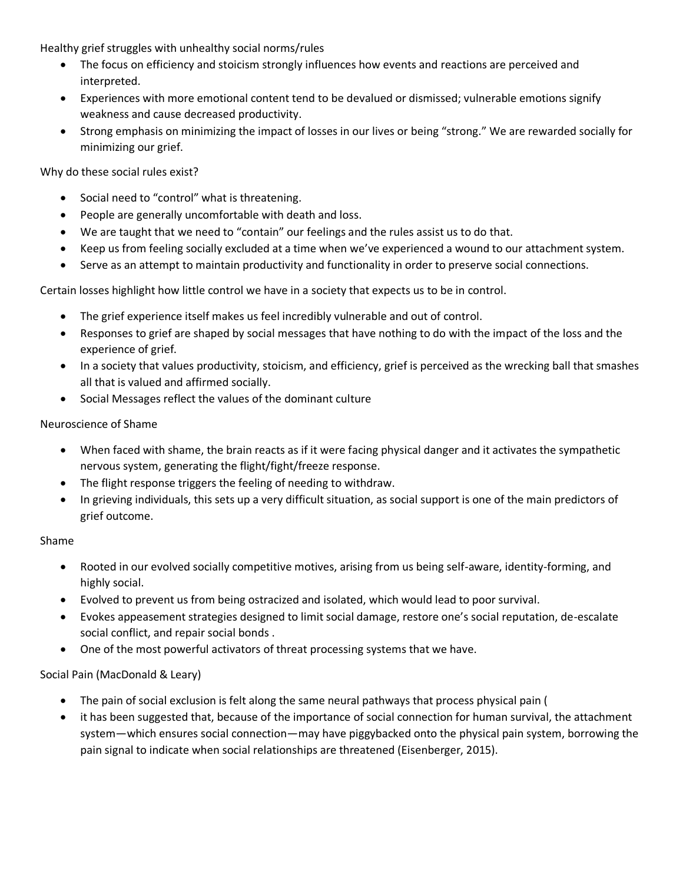Healthy grief struggles with unhealthy social norms/rules

- The focus on efficiency and stoicism strongly influences how events and reactions are perceived and interpreted.
- Experiences with more emotional content tend to be devalued or dismissed; vulnerable emotions signify weakness and cause decreased productivity.
- Strong emphasis on minimizing the impact of losses in our lives or being "strong." We are rewarded socially for minimizing our grief.

Why do these social rules exist?

- Social need to "control" what is threatening.
- People are generally uncomfortable with death and loss.
- We are taught that we need to "contain" our feelings and the rules assist us to do that.
- Keep us from feeling socially excluded at a time when we've experienced a wound to our attachment system.
- Serve as an attempt to maintain productivity and functionality in order to preserve social connections.

Certain losses highlight how little control we have in a society that expects us to be in control.

- The grief experience itself makes us feel incredibly vulnerable and out of control.
- Responses to grief are shaped by social messages that have nothing to do with the impact of the loss and the experience of grief.
- In a society that values productivity, stoicism, and efficiency, grief is perceived as the wrecking ball that smashes all that is valued and affirmed socially.
- Social Messages reflect the values of the dominant culture

# Neuroscience of Shame

- When faced with shame, the brain reacts as if it were facing physical danger and it activates the sympathetic nervous system, generating the flight/fight/freeze response.
- The flight response triggers the feeling of needing to withdraw.
- In grieving individuals, this sets up a very difficult situation, as social support is one of the main predictors of grief outcome.

# Shame

- Rooted in our evolved socially competitive motives, arising from us being self-aware, identity-forming, and highly social.
- Evolved to prevent us from being ostracized and isolated, which would lead to poor survival.
- Evokes appeasement strategies designed to limit social damage, restore one's social reputation, de-escalate social conflict, and repair social bonds .
- One of the most powerful activators of threat processing systems that we have.

# Social Pain (MacDonald & Leary)

- The pain of social exclusion is felt along the same neural pathways that process physical pain (
- it has been suggested that, because of the importance of social connection for human survival, the attachment system—which ensures social connection—may have piggybacked onto the physical pain system, borrowing the pain signal to indicate when social relationships are threatened (Eisenberger, 2015).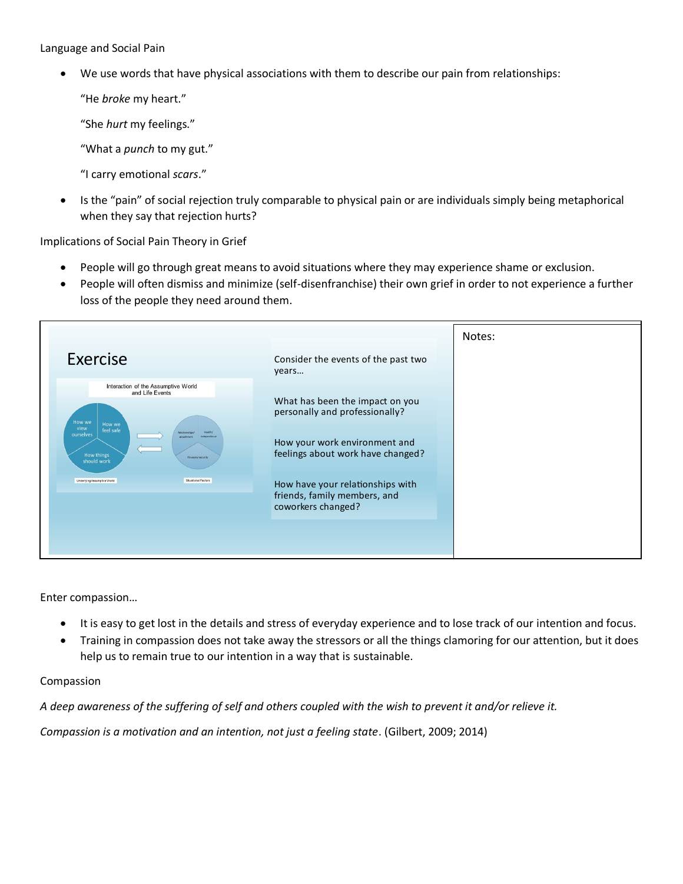Language and Social Pain

• We use words that have physical associations with them to describe our pain from relationships:

"He *broke* my heart."

" She *hurt* my feelings."

"What a *punch* to my gut."

"I carry emotional *scars*."

• Is the "pain" of social rejection truly comparable to physical pain or are individuals simply being metaphorical when they say that rejection hurts?

Implications of Social Pain Theory in Grief

- People will go through great means to avoid situations where they may experience shame or exclusion.
- People will often dismiss and minimize (self-disenfranchise) their own grief in order to not experience a further loss of the people they need around them.

|                                                                                                                                                                                                |                                                                                                                                         | Notes: |
|------------------------------------------------------------------------------------------------------------------------------------------------------------------------------------------------|-----------------------------------------------------------------------------------------------------------------------------------------|--------|
| Exercise                                                                                                                                                                                       | Consider the events of the past two<br>years                                                                                            |        |
| Interaction of the Assumptive World<br>and Life Events<br>How we<br>How we<br>view<br>feel safe<br>Relationships<br>ourselves<br>attachment<br>independence<br>How things<br>Finances/security | What has been the impact on you<br>personally and professionally?<br>How your work environment and<br>feelings about work have changed? |        |
| should work<br>Situational Factors<br>Underlying Assumptive World                                                                                                                              | How have your relationships with<br>friends, family members, and<br>coworkers changed?                                                  |        |
|                                                                                                                                                                                                |                                                                                                                                         |        |

Enter compassion...

- It is easy to get lost in the details and stress of everyday experience and to lose track of our intention and focus.
- Training in compassion does not take away the stressors or all the things clamoring for our attention, but it does help us to remain true to our intention in a way that is sustainable.

# Compassion

*A deep awareness of the suffering of self and others coupled with the wish to prevent it and/or relieve it.*

*Compassion is a motivation and an intention, not just a feeling state*. (Gilbert, 2009; 2014)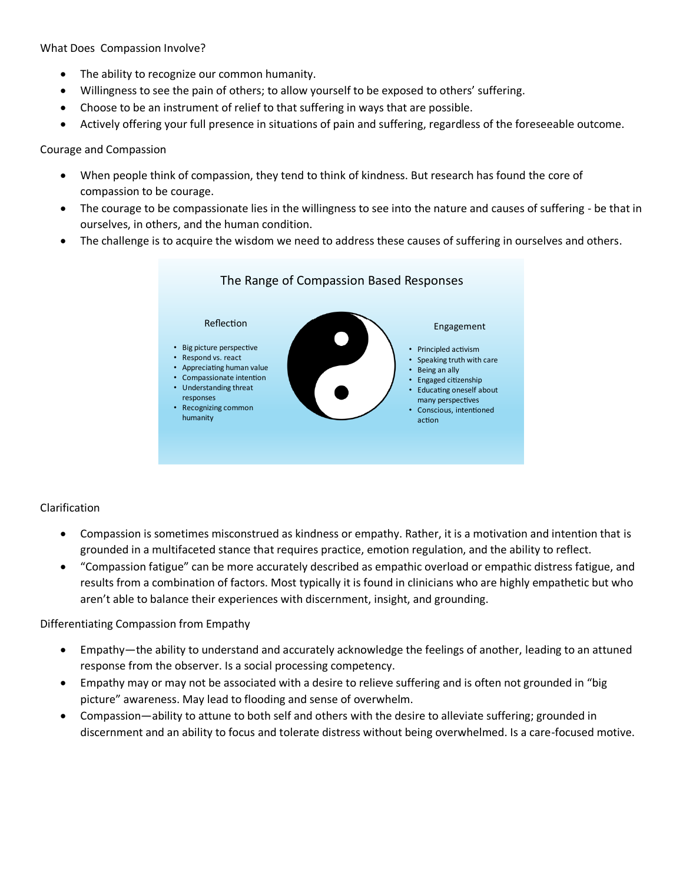What Does Compassion Involve?

- The ability to recognize our common humanity.
- Willingness to see the pain of others; to allow yourself to be exposed to others' suffering.
- Choose to be an instrument of relief to that suffering in ways that are possible.
- Actively offering your full presence in situations of pain and suffering, regardless of the foreseeable outcome.

# Courage and Compassion

- When people think of compassion, they tend to think of kindness. But research has found the core of compassion to be courage.
- The courage to be compassionate lies in the willingness to see into the nature and causes of suffering be that in ourselves, in others, and the human condition.
- The challenge is to acquire the wisdom we need to address these causes of suffering in ourselves and others.



# Clarification

- Compassion is sometimes misconstrued as kindness or empathy. Rather, it is a motivation and intention that is grounded in a multifaceted stance that requires practice, emotion regulation, and the ability to reflect.
- "Compassion fatigue" can be more accurately described as empathic overload or empathic distress fatigue, and results from a combination of factors. Most typically it is found in clinicians who are highly empathetic but who aren't able to balance their experiences with discernment, insight, and grounding.

# Differentiating Compassion from Empathy

- Empathy—the ability to understand and accurately acknowledge the feelings of another, leading to an attuned response from the observer. Is a social processing competency.
- mpathy may or may not be associated with a desire to relieve suffering and is often not grounded in "big picture" awareness. May lead to flooding and sense of overwhelm.
- Compassion—ability to attune to both self and others with the desire to alleviate suffering; grounded in discernment and an ability to focus and tolerate distress without being overwhelmed. Is a care-focused motive.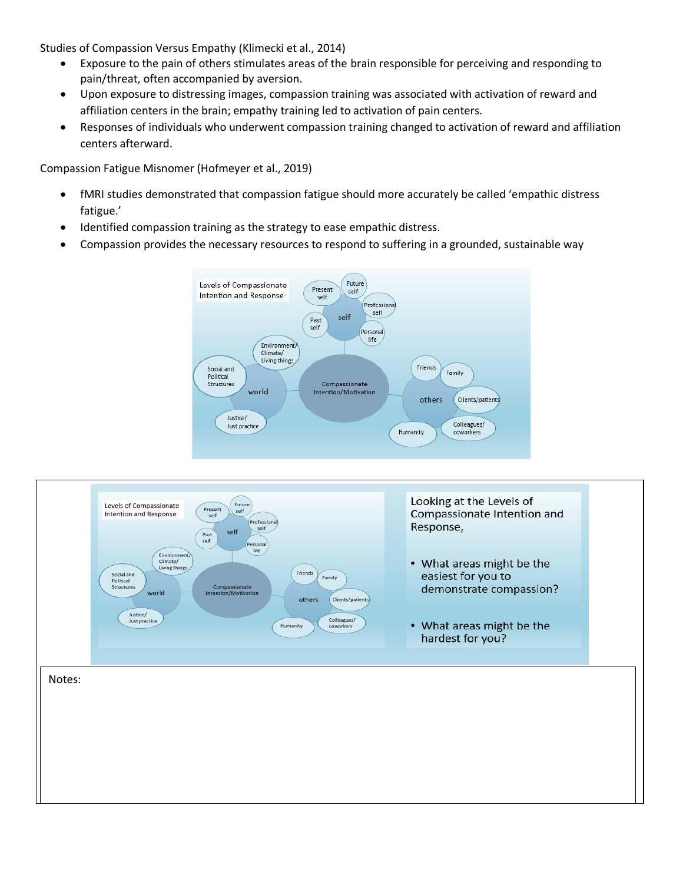Studies of Compassion Versus Empathy (Klimecki et al., 2014)

- Exposure to the pain of others stimulates areas of the brain responsible for perceiving and responding to pain/threat, often accompanied by aversion.
- Upon exposure to distressing images, compassion training was associated with activation of reward and affiliation centers in the brain; empathy training led to activation of pain centers.
- Responses of individuals who underwent compassion training changed to activation of reward and affiliation centers afterward.

Compassion Fatigue Misnomer (Hofmeyer et al., 2019)

- fMRI studies demonstrated that compassion fatigue should more accurately be called 'empathic distress fatigue.'
- Identified compassion training as the strategy to ease empathic distress.
- Compassion provides the necessary resources to respond to suffering in a grounded, sustainable way



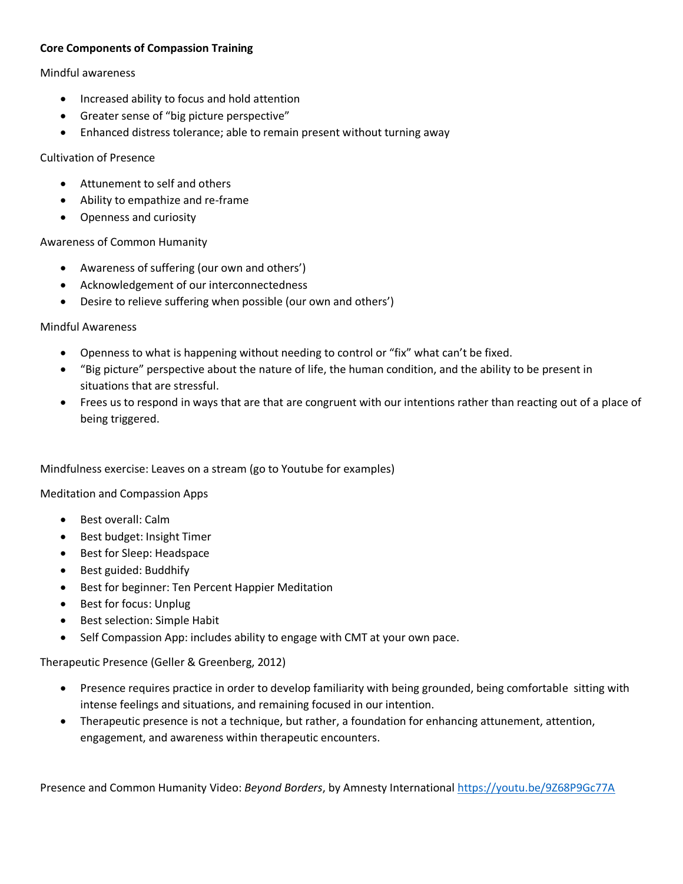# **Core Components of Compassion Training**

# Mindful awareness

- Increased ability to focus and hold attention
- Greater sense of "big picture perspective"
- Enhanced distress tolerance; able to remain present without turning away

# Cultivation of Presence

- Attunement to self and others
- Ability to empathize and re-frame
- Openness and curiosity

# Awareness of Common Humanity

- Awareness of suffering (our own and others')
- Acknowledgement of our interconnectedness
- Desire to relieve suffering when possible (our own and others')

# Mindful Awareness

- Openness to what is happening without needing to control or "fix" what can't be fixed.
- "Big picture" perspective about the nature of life, the human condition, and the ability to be present in situations that are stressful.
- Frees us to respond in ways that are that are congruent with our intentions rather than reacting out of a place of being triggered.

# Mindfulness exercise: Leaves on a stream (go to Youtube for examples)

Meditation and Compassion Apps

- Best overall: Calm
- Best budget: Insight Timer
- Best for Sleep: Headspace
- Best guided: Buddhify
- Best for beginner: Ten Percent Happier Meditation
- Best for focus: Unplug
- Best selection: Simple Habit
- Self Compassion App: includes ability to engage with CMT at your own pace.

# Therapeutic Presence (Geller & Greenberg, 2012)

- Presence requires practice in order to develop familiarity with being grounded, being comfortable sitting with intense feelings and situations, and remaining focused in our intention.
- Therapeutic presence is not a technique, but rather, a foundation for enhancing attunement, attention, engagement, and awareness within therapeutic encounters.

Presence and Common Humanity Video: *Beyond Borders*, by Amnesty International<https://youtu.be/9Z68P9Gc77A>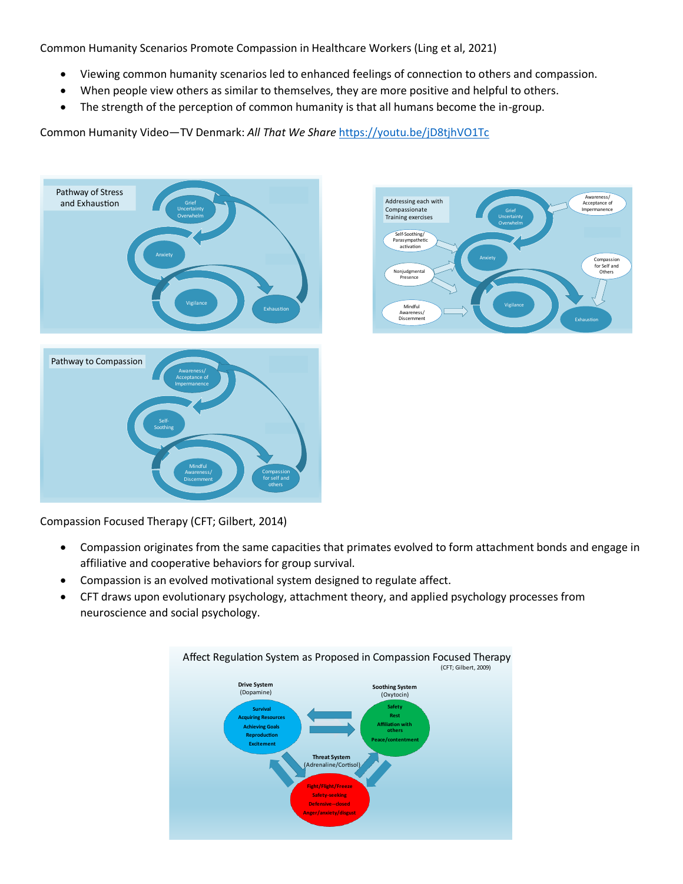Common Humanity Scenarios Promote Compassion in Healthcare Workers (Ling et al, 2021)

- Viewing common humanity scenarios led to enhanced feelings of connection to others and compassion.  $\bullet$
- When people view others as similar to themselves, they are more positive and helpful to others.  $\bullet$
- The strength of the perception of common humanity is that all humans become the in-group.  $\bullet$

Common Humanity Video-TV Denmark: All That We Share https://youtu.be/jD8tjhVO1Tc





Compassion Focused Therapy (CFT; Gilbert, 2014)

- Compassion originates from the same capacities that primates evolved to form attachment bonds and engage in  $\bullet$ affiliative and cooperative behaviors for group survival.
- Compassion is an evolved motivational system designed to regulate affect.  $\bullet$
- CFT draws upon evolutionary psychology, attachment theory, and applied psychology processes from  $\bullet$ neuroscience and social psychology.

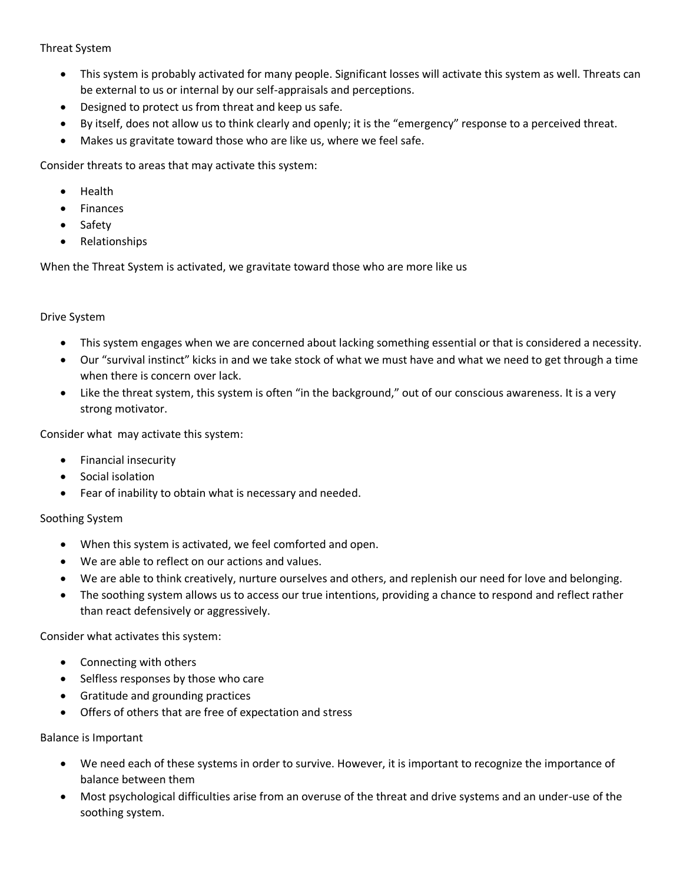# Threat System

- This system is probably activated for many people. Significant losses will activate this system as well. Threats can be external to us or internal by our self-appraisals and perceptions.
- Designed to protect us from threat and keep us safe.
- By itself, does not allow us to think clearly and openly; it is the "emergency" response to a perceived threat.
- Makes us gravitate toward those who are like us, where we feel safe.

Consider threats to areas that may activate this system:

- Health
- **Finances**
- Safety
- Relationships

When the Threat System is activated, we gravitate toward those who are more like us

# Drive System

- This system engages when we are concerned about lacking something essential or that is considered a necessity.
- Our "survival instinct" kicks in and we take stock of what we must have and what we need to get through a time when there is concern over lack.
- Like the threat system, this system is often "in the background," out of our conscious awareness. It is a very strong motivator.

Consider what may activate this system:

- Financial insecurity
- Social isolation
- Fear of inability to obtain what is necessary and needed.

# Soothing System

- When this system is activated, we feel comforted and open.
- We are able to reflect on our actions and values.
- We are able to think creatively, nurture ourselves and others, and replenish our need for love and belonging.
- The soothing system allows us to access our true intentions, providing a chance to respond and reflect rather than react defensively or aggressively.

Consider what activates this system:

- Connecting with others
- Selfless responses by those who care
- Gratitude and grounding practices
- Offers of others that are free of expectation and stress

# Balance is Important

- We need each of these systems in order to survive. However, it is important to recognize the importance of balance between them
- Most psychological difficulties arise from an overuse of the threat and drive systems and an under-use of the soothing system.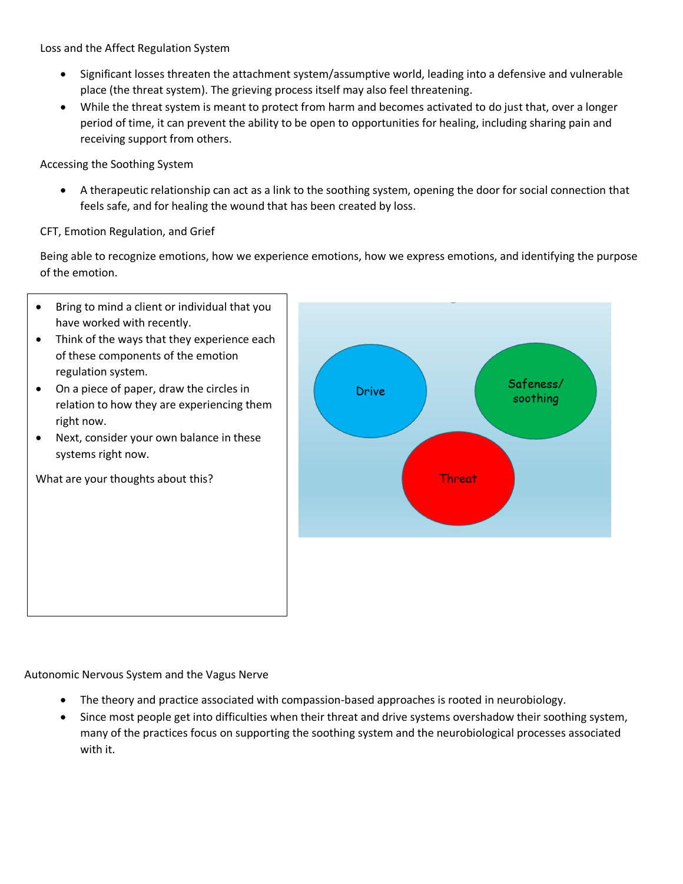Loss and the Affect Regulation System

- Significant losses threaten the attachment system/assumptive world, leading into a defensive and vulnerable place (the threat system). The grieving process itself may also feel threatening.
- While the threat system is meant to protect from harm and becomes activated to do just that, over a longer period of time, it can prevent the ability to be open to opportunities for healing, including sharing pain and receiving support from others.

Accessing the Soothing System

• A therapeutic relationship can act as a link to the soothing system, opening the door for social connection that feels safe, and for healing the wound that has been created by loss.

CFT, Emotion Regulation, and Grief

Being able to recognize emotions, how we experience emotions, how we express emotions, and identifying the purpose of the emotion.

- Bring to mind a client or individual that you have worked with recently.
- Think of the ways that they experience each of these components of the emotion regulation system.
- On a piece of paper, draw the circles in relation to how they are experiencing them right now.
- Next, consider your own balance in these systems right now.

What are your thoughts about this?



Autonomic Nervous System and the Vagus Nerve

- The theory and practice associated with compassion-based approaches is rooted in neurobiology.
- Since most people get into difficulties when their threat and drive systems overshadow their soothing system, many of the practices focus on supporting the soothing system and the neurobiological processes associated with it.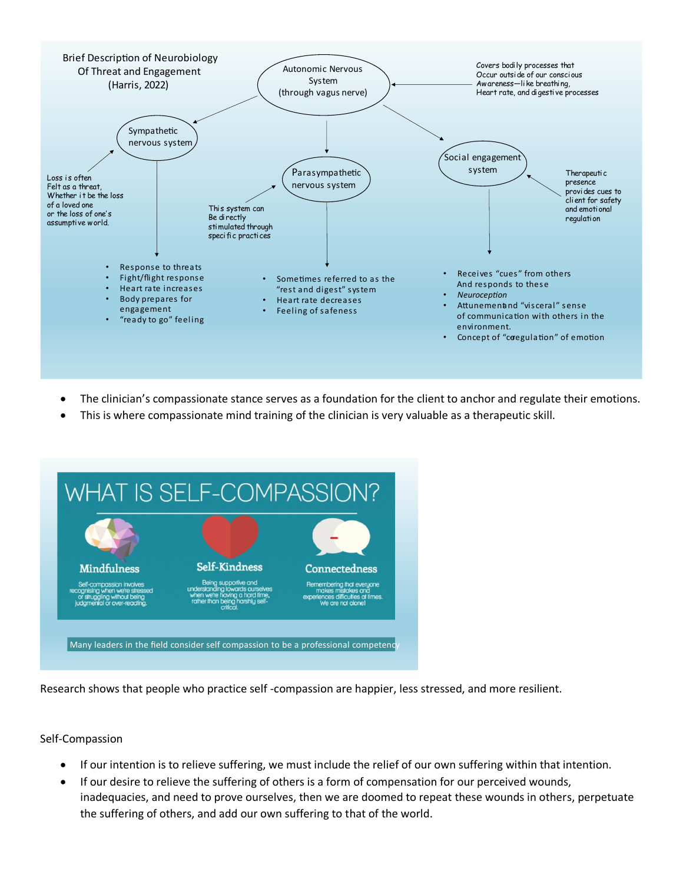

- The clinician's compassionate stance serves as a foundation for the client to anchor and regulate their emotions.
- This is where compassionate mind training of the clinician is very valuable as a therapeutic skill.



Research shows that people who practice self -compassion are happier, less stressed, and more resilient.

# Self-Compassion

- If our intention is to relieve suffering, we must include the relief of our own suffering within that intention.
- If our desire to relieve the suffering of others is a form of compensation for our perceived wounds, inadequacies, and need to prove ourselves, then we are doomed to repeat these wounds in others, perpetuate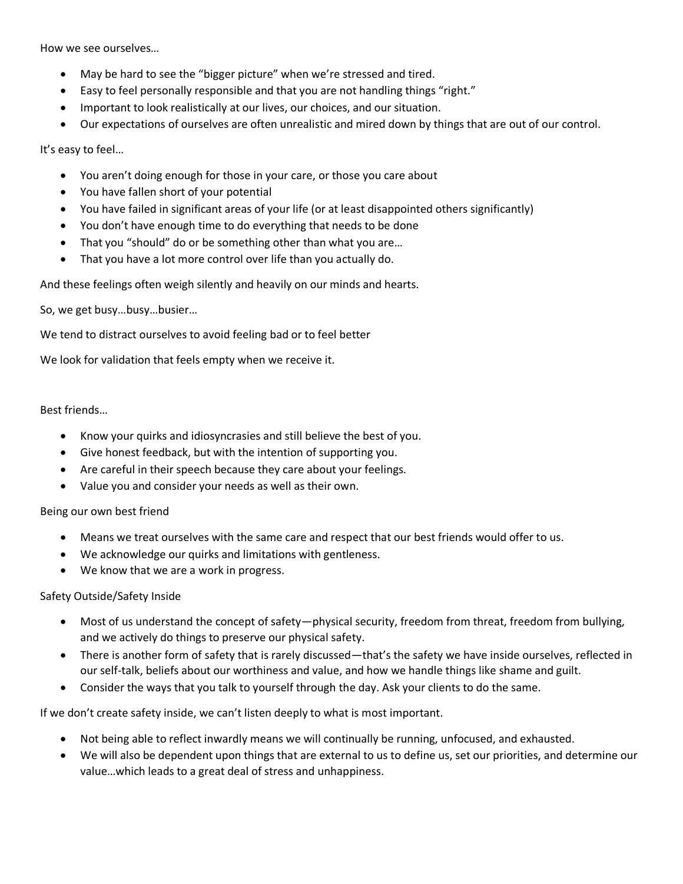How we see ourselves...

- May be hard to see the "bigger picture" when we're stressed and tired.
- Easy to feel personally responsible and that you are not handling things "right."
- Important to look realistically at our lives, our choices, and our situation.
- Our expectations of ourselves are often unrealistic and mired down by things that are out of our control.

It's easy to feel…

- You aren't doing enough for those in your care, or those you care about
- You have fallen short of your potential
- You have failed in significant areas of your life (or at least disappointed others significantly)
- You don't have enough time to do everything that needs to be done
- That you "should" do or be something other than what you are...
- That you have a lot more control over life than you actually do.

And these feelings often weigh silently and heavily on our minds and hearts.

So, we get busy…busy…busier…

We tend to distract ourselves to avoid feeling bad or to feel better

We look for validation that feels empty when we receive it.

## Best friends…

- Know your quirks and idiosyncrasies and still believe the best of you.
- Give honest feedback, but with the intention of supporting you.
- Are careful in their speech because they care about your feelings.
- Value you and consider your needs as well as their own.

# Being our own best friend

- Means we treat ourselves with the same care and respect that our best friends would offer to us.
- We acknowledge our quirks and limitations with gentleness.
- We know that we are a work in progress.

# Safety Outside/Safety Inside

- Most of us understand the concept of safety—physical security, freedom from threat, freedom from bullying, and we actively do things to preserve our physical safety.
- There is another form of safety that is rarely discussed—that's the safety we have inside ourselves, reflected in our self-talk, beliefs about our worthiness and value, and how we handle things like shame and guilt.
- Consider the ways that you talk to yourself through the day. Ask your clients to do the same.

If we don't create safety inside, we can't listen deeply to what is most important.

- Not being able to reflect inwardly means we will continually be running, unfocused, and exhausted.
- We will also be dependent upon things that are external to us to define us, set our priorities, and determine our value…which leads to a great deal of stress and unhappiness.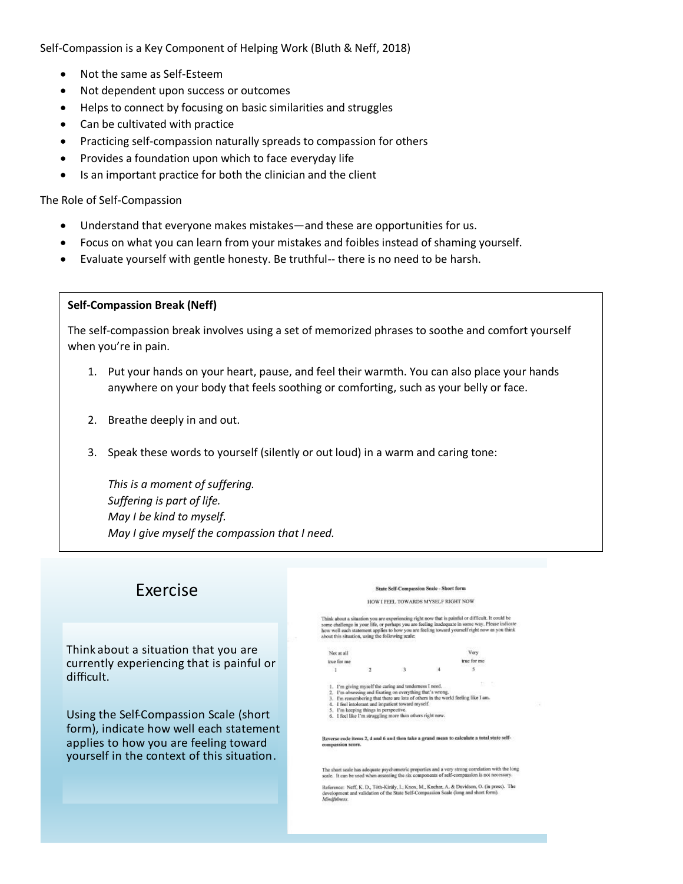Self-Compassion is a Key Component of Helping Work (Bluth & Neff, 2018)

- Not the same as Self-Esteem
- Not dependent upon success or outcomes
- Helps to connect by focusing on basic similarities and struggles
- Can be cultivated with practice
- Practicing self-compassion naturally spreads to compassion for others
- Provides a foundation upon which to face everyday life
- Is an important practice for both the clinician and the client

### The Role of Self-Compassion

- Understand that everyone makes mistakes—and these are opportunities for us.
- Focus on what you can learn from your mistakes and foibles instead of shaming yourself.
- Evaluate yourself with gentle honesty. Be truthful-- there is no need to be harsh.

## **Self-Compassion Break (Neff)**

The self-compassion break involves using a set of memorized phrases to soothe and comfort yourself when you're in pain.

- 1. Put your hands on your heart, pause, and feel their warmth. You can also place your hands anywhere on your body that feels soothing or comforting, such as your belly or face.
- 2. Breathe deeply in and out.
- 3. Speak these words to yourself (silently or out loud) in a warm and caring tone:

*This is a moment of suffering. Suffering is part of life. May I be kind to myself. May I give myself the compassion that I need.*

# **Exercise**

Think about a situation that you are currently experiencing that is painful or difficult.

Using the Self-Compassion Scale (short form), indicate how well each statement applies to how you are feeling toward yourself in the context of this situation.

#### State Self-Compassion Scale - Short form

#### HOW I FEEL TOWARDS MYSELF RIGHT NOW

Think about a situation you are experiencing right now that is painful or difficult. It could be some challenge in your life, or perhaps you are feeling inadequate in some way. Please indicate how well and naturement appl

| Not at all  |  | Very        |
|-------------|--|-------------|
| true for me |  | true for me |
|             |  |             |

- 1. I'm giving myself the caring and tenderness I need.<br>2. I'm obsessing and Exating on everything that's wrong.<br>3. I'm remembering that there are lots of others in the world feeling like I am.<br>4. I field intolerant and im
- 
- 

Reverse code items 2, 4 and 6 and then take a grand mean to calculate a total state self-compassion score.

The short scale has adequate psychometric properties and a very strong correlation with the long<br>scale. It can be used when assessing the six components of self-compassion is not necessary.

Reference: Neff, K. D., Tóth-Király, I., Knox, M., Kuchar, A. & Davidson, O. (in press). The development and validation of the State Self-Compassion Scale (long and short form). **Mindfulness**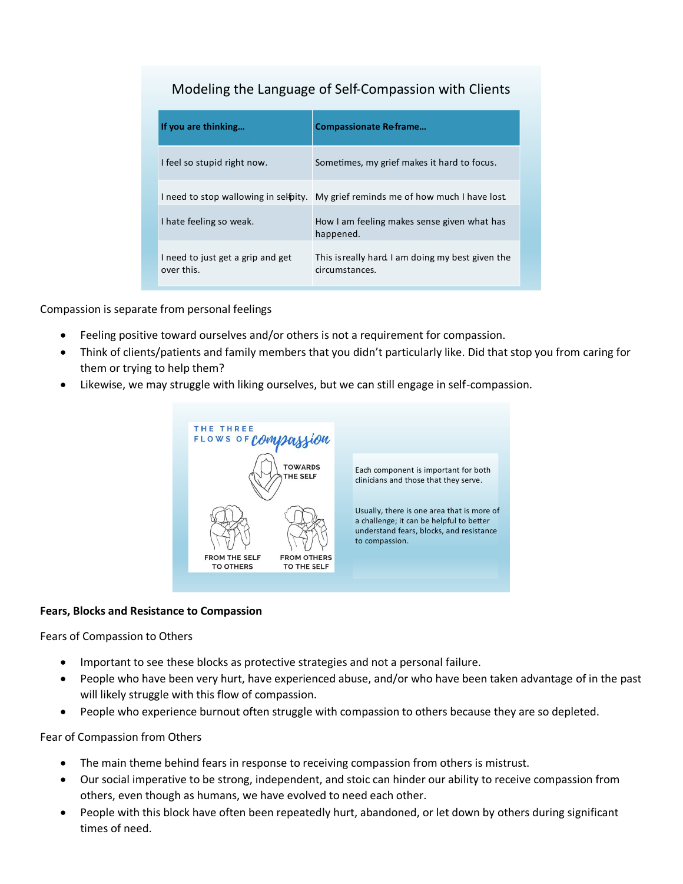# Modeling the Language of Self-Compassion with Clients

| If you are thinking                             | <b>Compassionate Reframe</b>                                                     |
|-------------------------------------------------|----------------------------------------------------------------------------------|
| I feel so stupid right now.                     | Sometimes, my grief makes it hard to focus.                                      |
|                                                 | I need to stop wallowing in selipty. My grief reminds me of how much I have lost |
| I hate feeling so weak.                         | How I am feeling makes sense given what has<br>happened.                         |
| I need to just get a grip and get<br>over this. | This is really hard I am doing my best given the<br>circumstances.               |

Compassion is separate from personal feelings

- Feeling positive toward ourselves and/or others is not a requirement for compassion.
- Think of clients/patients and family members that you didn't particularly like. Did that stop you from caring for them or trying to help them?
- Likewise, we may struggle with liking ourselves, but we can still engage in self-compassion.



# **Fears, Blocks and Resistance to Compassion**

Fears of Compassion to Others

- Important to see these blocks as protective strategies and not a personal failure.
- People who have been very hurt, have experienced abuse, and/or who have been taken advantage of in the past will likely struggle with this flow of compassion.
- People who experience burnout often struggle with compassion to others because they are so depleted.

# Fear of Compassion from Others

- The main theme behind fears in response to receiving compassion from others is mistrust.
- Our social imperative to be strong, independent, and stoic can hinder our ability to receive compassion from others, even though as humans, we have evolved to need each other.
- People with this block have often been repeatedly hurt, abandoned, or let down by others during significant times of need.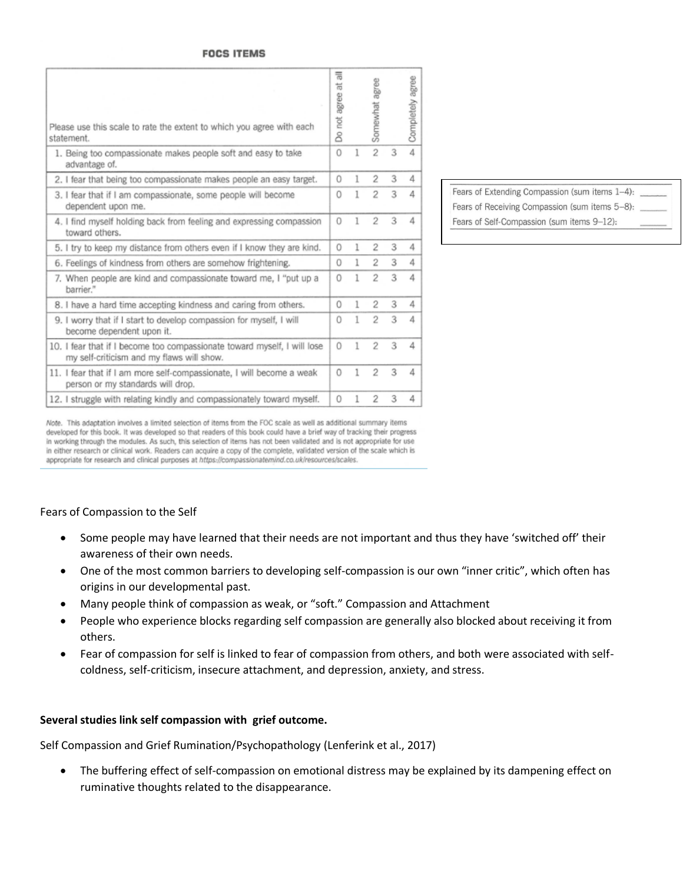### **FOCS ITEMS**

| Please use this scale to rate the extent to which you agree with each<br>statement.                                   | 툶<br>ti<br>agree<br>not.<br>8 |   | agree<br>Somewhat |   | Completely agree |
|-----------------------------------------------------------------------------------------------------------------------|-------------------------------|---|-------------------|---|------------------|
| 1. Being too compassionate makes people soft and easy to take<br>advantage of.                                        | $\Omega$                      | ı | $\overline{2}$    | 3 | 4                |
| 2. I fear that being too compassionate makes people an easy target.                                                   | $\circ$                       | 1 | 2                 | 3 | 4                |
| 3. I fear that if I am compassionate, some people will become<br>dependent upon me.                                   | 0                             | 1 | $\overline{2}$    | 3 | 4                |
| 4. I find myself holding back from feeling and expressing compassion<br>toward others.                                | $\Omega$                      | 1 | $\overline{2}$    | 3 | 4                |
| 5. I try to keep my distance from others even if I know they are kind.                                                | $\circ$                       | 1 | $\overline{2}$    | 3 | 4                |
| 6. Feelings of kindness from others are somehow frightening.                                                          | 0                             | 1 | 2                 | 3 | 4                |
| 7. When people are kind and compassionate toward me, I "put up a<br>barrier."                                         | $\Omega$                      | 1 | $\overline{2}$    | 3 | 4                |
| 8. I have a hard time accepting kindness and caring from others.                                                      | $\Omega$                      | 1 | 2                 | 3 | 4                |
| 9. I worry that if I start to develop compassion for myself, I will<br>become dependent upon it.                      | 0                             | 1 | $\overline{2}$    | 3 | 4                |
| 10. I fear that if I become too compassionate toward myself, I will lose<br>my self-criticism and my flaws will show. | 0                             | 1 | $\overline{2}$    | 3 | 4                |
| 11. I fear that if I am more self-compassionate, I will become a weak<br>person or my standards will drop.            | $\circ$                       | 1 | $\overline{2}$    | 3 | 4                |
| 12. I struggle with relating kindly and compassionately toward myself.                                                | $\Omega$                      | 1 | 2                 | 3 | 4                |

Fears of Extending Compassion (sum items 1-4): Fears of Receiving Compassion (sum items 5-8): Fears of Self-Compassion (sum items 9-12):

Note. This adaptation involves a limited selection of items from the FOC scale as well as additional summary items developed for this book. It was developed so that readers of this book could have a brief way of tracking their progress in working through the modules. As such, this selection of items has not been validated and is not appropriate for use in either research or clinical work. Readers can acquire a copy of the complete, validated version of the scale which is appropriate for research and clinical purposes at https://compassionatemind.co.uk/resources/scales.

### Fears of Compassion to the Self

- Some people may have learned that their needs are not important and thus they have 'switched off' their awareness of their own needs.
- One of the most common barriers to developing self-compassion is our own "inner critic", which often has origins in our developmental past.
- any people think of compassion as weak, or "soft." Compassion and Attachment
- People who experience blocks regarding self compassion are generally also blocked about receiving it from others.
- Fear of compassion for self is linked to fear of compassion from others, and both were associated with selfcoldness, self-criticism, insecure attachment, and depression, anxiety, and stress.

### **Several studies link self compassion with grief outcome.**

Self Compassion and Grief Rumination/Psychopathology (Lenferink et al., 2017)

• The buffering effect of self-compassion on emotional distress may be explained by its dampening effect on ruminative thoughts related to the disappearance.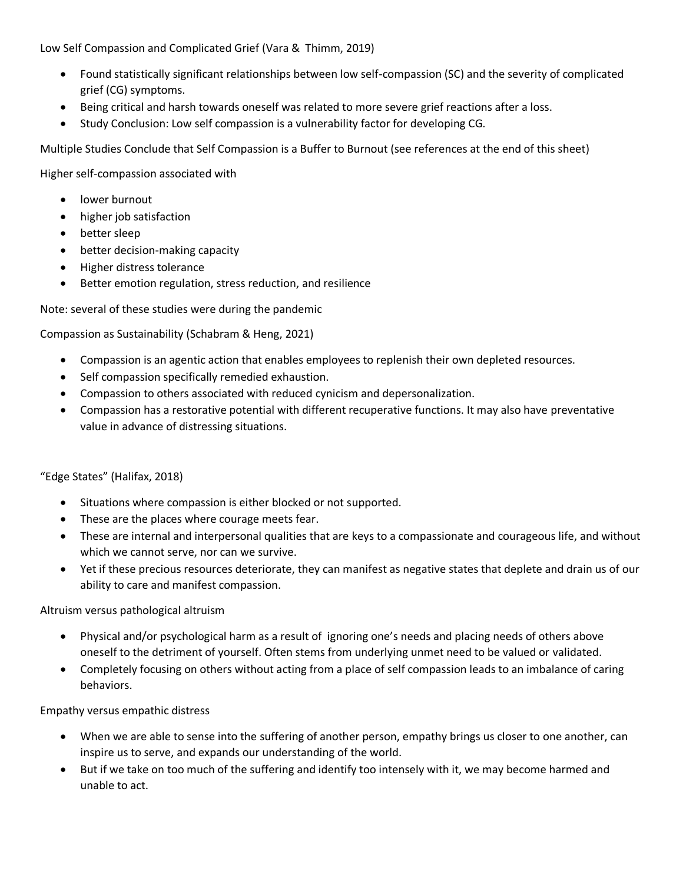Low Self Compassion and Complicated Grief (Vara & Thimm, 2019)

- Found statistically significant relationships between low self-compassion (SC) and the severity of complicated grief (CG) symptoms.
- Being critical and harsh towards oneself was related to more severe grief reactions after a loss.
- Study Conclusion: Low self compassion is a vulnerability factor for developing CG.

Multiple Studies Conclude that Self Compassion is a Buffer to Burnout (see references at the end of this sheet)

Higher self-compassion associated with

- lower burnout
- higher job satisfaction
- better sleep
- better decision-making capacity
- Higher distress tolerance
- Better emotion regulation, stress reduction, and resilience

Note: several of these studies were during the pandemic

Compassion as Sustainability (Schabram & Heng, 2021)

- Compassion is an agentic action that enables employees to replenish their own depleted resources.
- Self compassion specifically remedied exhaustion.
- Compassion to others associated with reduced cynicism and depersonalization.
- Compassion has a restorative potential with different recuperative functions. It may also have preventative value in advance of distressing situations.

# "Edge States" (Halifax, 2018)

- Situations where compassion is either blocked or not supported.
- These are the places where courage meets fear.
- These are internal and interpersonal qualities that are keys to a compassionate and courageous life, and without which we cannot serve, nor can we survive.
- Yet if these precious resources deteriorate, they can manifest as negative states that deplete and drain us of our ability to care and manifest compassion.

Altruism versus pathological altruism

- hysical and/or psychological harm as a result of ignoring one's needs and placing needs of others above oneself to the detriment of yourself. Often stems from underlying unmet need to be valued or validated.
- Completely focusing on others without acting from a place of self compassion leads to an imbalance of caring behaviors.

Empathy versus empathic distress

- When we are able to sense into the suffering of another person, empathy brings us closer to one another, can inspire us to serve, and expands our understanding of the world.
- But if we take on too much of the suffering and identify too intensely with it, we may become harmed and unable to act.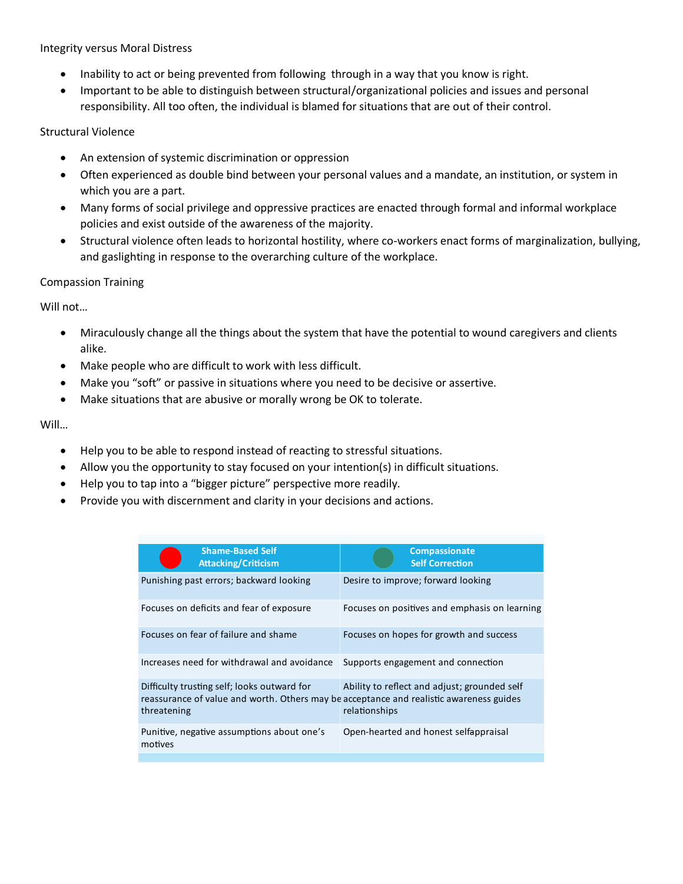Integrity versus Moral Distress

- Inability to act or being prevented from following through in a way that you know is right.
- Important to be able to distinguish between structural/organizational policies and issues and personal responsibility. All too often, the individual is blamed for situations that are out of their control.

# Structural Violence

- An extension of systemic discrimination or oppression
- Often experienced as double bind between your personal values and a mandate, an institution, or system in which you are a part.
- Many forms of social privilege and oppressive practices are enacted through formal and informal workplace policies and exist outside of the awareness of the majority.
- Structural violence often leads to horizontal hostility, where co-workers enact forms of marginalization, bullying, and gaslighting in response to the overarching culture of the workplace.

# Compassion Training

Will not…

- Miraculously change all the things about the system that have the potential to wound caregivers and clients alike.
- Make people who are difficult to work with less difficult.
- Make you "soft" or passive in situations where you need to be decisive or assertive.
- Make situations that are abusive or morally wrong be OK to tolerate.

# Will…

- Help you to be able to respond instead of reacting to stressful situations.
- Allow you the opportunity to stay focused on your intention(s) in difficult situations.
- Help you to tap into a "bigger picture" perspective more readily.
- Provide you with discernment and clarity in your decisions and actions.

| <b>Shame-Based Self</b><br><b>Attacking/Criticism</b>                                                                                                 | Compassionate<br><b>Self Correction</b>                       |
|-------------------------------------------------------------------------------------------------------------------------------------------------------|---------------------------------------------------------------|
| Punishing past errors; backward looking                                                                                                               | Desire to improve; forward looking                            |
| Focuses on deficits and fear of exposure                                                                                                              | Focuses on positives and emphasis on learning                 |
| Focuses on fear of failure and shame                                                                                                                  | Focuses on hopes for growth and success                       |
| Increases need for withdrawal and avoidance                                                                                                           | Supports engagement and connection                            |
| Difficulty trusting self; looks outward for<br>reassurance of value and worth. Others may be acceptance and realistic awareness guides<br>threatening | Ability to reflect and adjust; grounded self<br>relationships |
| Punitive, negative assumptions about one's<br>motives                                                                                                 | Open-hearted and honest selfappraisal                         |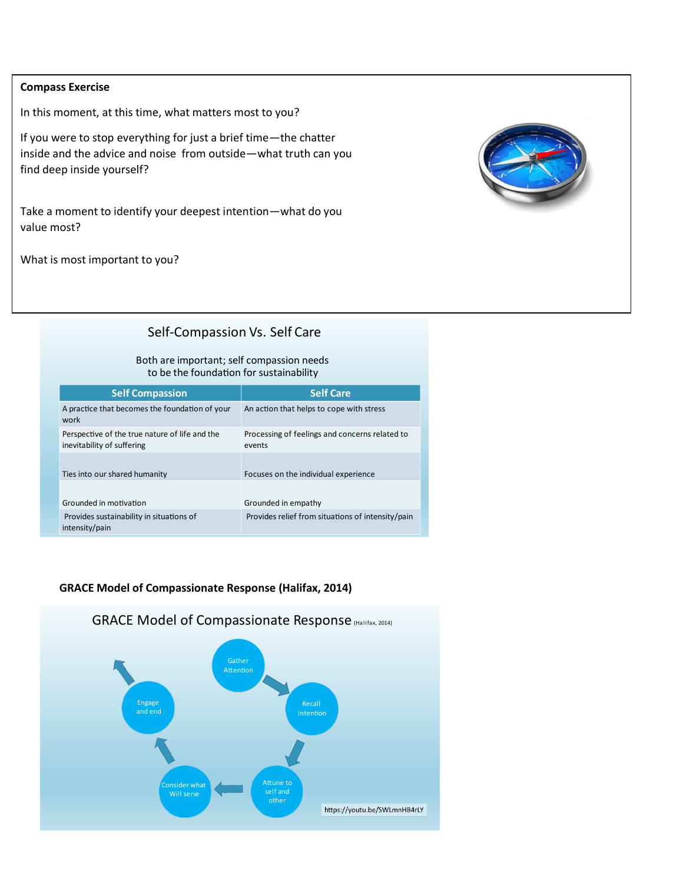## **Compass Exercise**

In this moment, at this time, what matters most to you?

If you were to stop everything for just a brief time-the chatter inside and the advice and noise from outside-what truth can you find deep inside yourself?

Take a moment to identify your deepest intention-what do you value most?

What is most important to you?



# Self-Compassion Vs. Self Care

### Both are important; self compassion needs to be the foundation for sustainability

| <b>Self Compassion</b>                                                       | <b>Self Care</b>                                         |
|------------------------------------------------------------------------------|----------------------------------------------------------|
| A practice that becomes the foundation of your<br>work                       | An action that helps to cope with stress                 |
| Perspective of the true nature of life and the<br>inevitability of suffering | Processing of feelings and concerns related to<br>events |
| Ties into our shared humanity                                                | Focuses on the individual experience                     |
| Grounded in motivation                                                       | Grounded in empathy                                      |
| Provides sustainability in situations of<br>intensity/pain                   | Provides relief from situations of intensity/pain        |

# **GRACE Model of Compassionate Response (Halifax, 2014)**

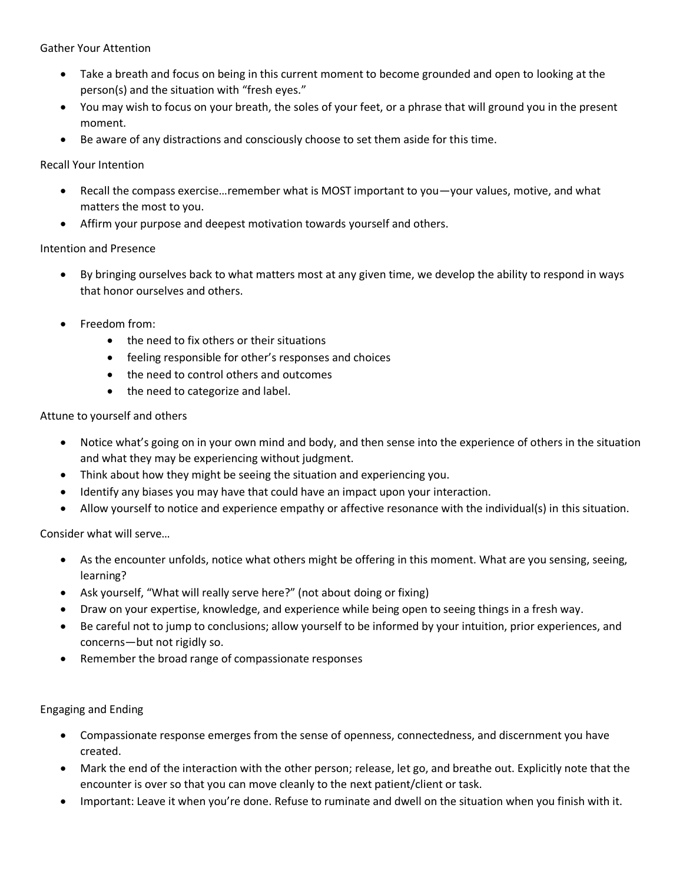Gather Your Attention

- Take a breath and focus on being in this current moment to become grounded and open to looking at the person(s) and the situation with "fresh eyes."
- You may wish to focus on your breath, the soles of your feet, or a phrase that will ground you in the present moment.
- Be aware of any distractions and consciously choose to set them aside for this time.

Recall Your Intention

- Recall the compass exercise...remember what is MOST important to you—your values, motive, and what matters the most to you.
- Affirm your purpose and deepest motivation towards yourself and others.

# Intention and Presence

- By bringing ourselves back to what matters most at any given time, we develop the ability to respond in ways that honor ourselves and others.
- Freedom from:
	- the need to fix others or their situations
	- feeling responsible for other's responses and choices
	- the need to control others and outcomes
	- the need to categorize and label.

# Attune to yourself and others

- Notice what's going on in your own mind and body, and then sense into the experience of others in the situation and what they may be experiencing without judgment.
- Think about how they might be seeing the situation and experiencing you.
- Identify any biases you may have that could have an impact upon your interaction.
- Allow yourself to notice and experience empathy or affective resonance with the individual(s) in this situation.

Consider what will serve…

- As the encounter unfolds, notice what others might be offering in this moment. What are you sensing, seeing, learning?
- Ask yourself, "What will really serve here?" (not about doing or fixing)
- Draw on your expertise, knowledge, and experience while being open to seeing things in a fresh way.
- Be careful not to jump to conclusions; allow yourself to be informed by your intuition, prior experiences, and concerns—but not rigidly so.
- Remember the broad range of compassionate responses

Engaging and Ending

- Compassionate response emerges from the sense of openness, connectedness, and discernment you have created.
- Mark the end of the interaction with the other person; release, let go, and breathe out. Explicitly note that the encounter is over so that you can move cleanly to the next patient/client or task.
- Important: Leave it when you're done. Refuse to ruminate and dwell on the situation when you finish with it.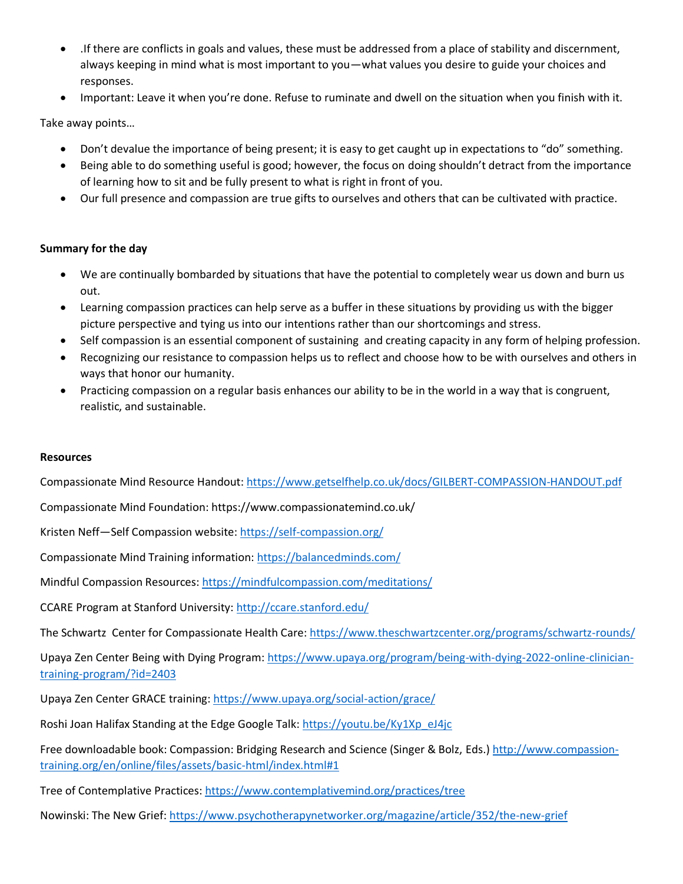- .If there are conflicts in goals and values, these must be addressed from a place of stability and discernment, always keeping in mind what is most important to you—what values you desire to guide your choices and responses.
- Important: Leave it when you're done. Refuse to ruminate and dwell on the situation when you finish with it.

Take away points…

- Don't devalue the importance of being present; it is easy to get caught up in expectations to "do" something.
- Being able to do something useful is good; however, the focus on doing shouldn't detract from the importance of learning how to sit and be fully present to what is right in front of you.
- Our full presence and compassion are true gifts to ourselves and others that can be cultivated with practice.

# **Summary for the day**

- We are continually bombarded by situations that have the potential to completely wear us down and burn us out.
- Learning compassion practices can help serve as a buffer in these situations by providing us with the bigger picture perspective and tying us into our intentions rather than our shortcomings and stress.
- Self compassion is an essential component of sustaining and creating capacity in any form of helping profession.
- Recognizing our resistance to compassion helps us to reflect and choose how to be with ourselves and others in ways that honor our humanity.
- Practicing compassion on a regular basis enhances our ability to be in the world in a way that is congruent, realistic, and sustainable.

# **Resources**

Compassionate Mind Resource Handout:<https://www.getselfhelp.co.uk/docs/GILBERT-COMPASSION-HANDOUT.pdf>

Compassionate Mind Foundation: https://www.compassionatemind.co.uk/

Kristen Neff-Self Compassion website:<https://self-compassion.org/>

Compassionate Mind Training information: <https://balancedminds.com/>

Mindful Compassion Resources:<https://mindfulcompassion.com/meditations/>

CCARE Program at Stanford University:<http://ccare.stanford.edu/>

The Schwartz Center for Compassionate Health Care[: https://www.theschwartzcenter.org/programs/schwartz-rounds/](https://www.theschwartzcenter.org/programs/schwartz-rounds/)

Upaya Zen Center Being with Dying Program[: https://www.upaya.org/program/being-with-dying-2022-online-clinician](https://www.upaya.org/program/being-with-dying-2022-online-clinician-training-program/?id=2403)[training-program/?id=2403](https://www.upaya.org/program/being-with-dying-2022-online-clinician-training-program/?id=2403)

Upaya Zen Center GRACE training:<https://www.upaya.org/social-action/grace/>

Roshi Joan Halifax Standing at the Edge Google Talk: [https://youtu.be/Ky1Xp\\_eJ4jc](https://youtu.be/Ky1Xp_eJ4jc)

Free downloadable book: Compassion: Bridging Research and Science (Singer & Bolz, Eds.[\) http://www.compassion](http://www.compassion-training.org/en/online/files/assets/basic-html/index.html#1)[training.org/en/online/files/assets/basic-html/index.html#1](http://www.compassion-training.org/en/online/files/assets/basic-html/index.html#1)

Tree of Contemplative Practices:<https://www.contemplativemind.org/practices/tree>

Nowinski: The New Grief:<https://www.psychotherapynetworker.org/magazine/article/352/the-new-grief>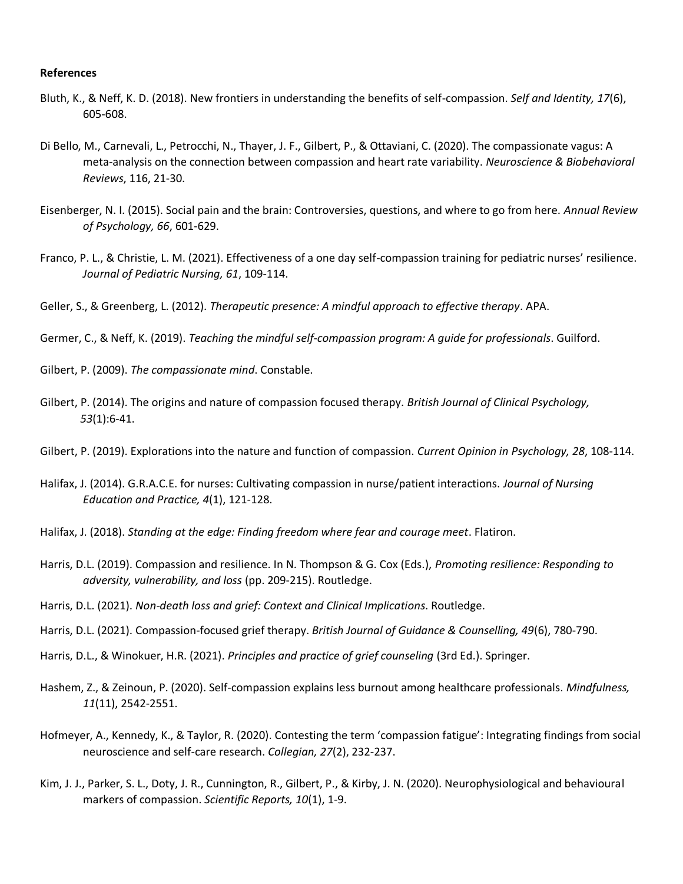### **References**

- Bluth, K., & Neff, K. D. (2018). New frontiers in understanding the benefits of self-compassion. *Self and Identity, 17*(6), 605-608.
- Di Bello, M., Carnevali, L., Petrocchi, N., Thayer, J. F., Gilbert, P., & Ottaviani, C. (2020). The compassionate vagus: A meta-analysis on the connection between compassion and heart rate variability. *Neuroscience & Biobehavioral Reviews*, 116, 21-30.
- Eisenberger, N. I. (2015). Social pain and the brain: Controversies, questions, and where to go from here. *Annual Review of Psychology, 66*, 601-629.
- Franco, P. L., & Christie, L. M. (2021). Effectiveness of a one day self-compassion training for pediatric nurses' resilience. *Journal of Pediatric Nursing, 61*, 109-114.

Geller, S., & Greenberg, L. (2012). *Therapeutic presence: A mindful approach to effective therapy*. APA.

Germer, C., & Neff, K. (2019). *Teaching the mindful self-compassion program: A guide for professionals*. Guilford.

Gilbert, P. (2009). *The compassionate mind*. Constable.

Gilbert, P. (2014). The origins and nature of compassion focused therapy. *British Journal of Clinical Psychology, 53*(1):6-41.

Gilbert, P. (2019). Explorations into the nature and function of compassion. *Current Opinion in Psychology, 28*, 108-114.

- Halifax, J. (2014). G.R.A.C.E. for nurses: Cultivating compassion in nurse/patient interactions. *Journal of Nursing Education and Practice, 4*(1), 121-128.
- Halifax, J. (2018). *Standing at the edge: Finding freedom where fear and courage meet*. Flatiron.
- Harris, D.L. (2019). Compassion and resilience. In N. Thompson & G. Cox (Eds.), *Promoting resilience: Responding to adversity, vulnerability, and loss* (pp. 209-215). Routledge.
- Harris, D.L. (2021). *Non-death loss and grief: Context and Clinical Implications*. Routledge.
- Harris, D.L. (2021). Compassion-focused grief therapy. *British Journal of Guidance & Counselling, 49*(6), 780-790.
- Harris, D.L., & Winokuer, H.R. (2021). *Principles and practice of grief counseling* (3rd Ed.). Springer.
- Hashem, Z., & Zeinoun, P. (2020). Self-compassion explains less burnout among healthcare professionals. *Mindfulness, 11*(11), 2542-2551.
- Hofmeyer, A., Kennedy, K., & Taylor, R. (2020). Contesting the term 'compassion fatigue': Integrating findings from social neuroscience and self-care research. *Collegian, 27*(2), 232-237.
- Kim, J. J., Parker, S. L., Doty, J. R., Cunnington, R., Gilbert, P., & Kirby, J. N. (2020). Neurophysiological and behavioural markers of compassion. *Scientific Reports, 10*(1), 1-9.